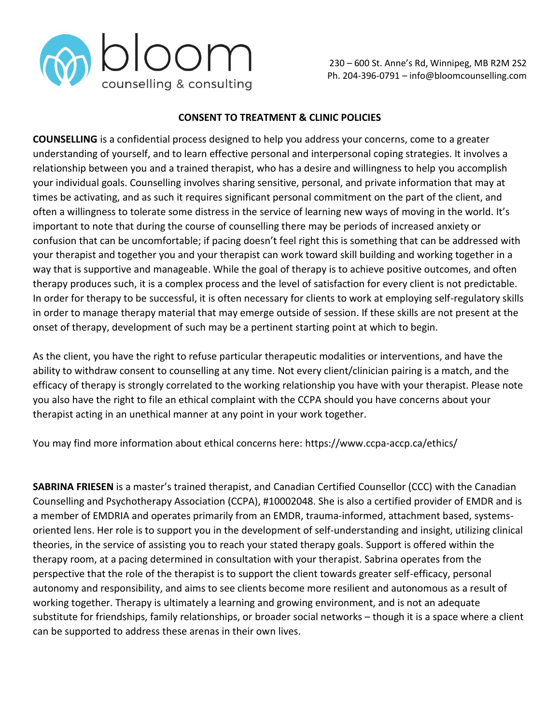

### **CONSENT TO TREATMENT & CLINIC POLICIES**

**COUNSELLING** is a confidential process designed to help you address your concerns, come to a greater understanding of yourself, and to learn effective personal and interpersonal coping strategies. It involves a relationship between you and a trained therapist, who has a desire and willingness to help you accomplish your individual goals. Counselling involves sharing sensitive, personal, and private information that may at times be activating, and as such it requires significant personal commitment on the part of the client, and often a willingness to tolerate some distress in the service of learning new ways of moving in the world. It's important to note that during the course of counselling there may be periods of increased anxiety or confusion that can be uncomfortable; if pacing doesn't feel right this is something that can be addressed with your therapist and together you and your therapist can work toward skill building and working together in a way that is supportive and manageable. While the goal of therapy is to achieve positive outcomes, and often therapy produces such, it is a complex process and the level of satisfaction for every client is not predictable. In order for therapy to be successful, it is often necessary for clients to work at employing self-regulatory skills in order to manage therapy material that may emerge outside of session. If these skills are not present at the onset of therapy, development of such may be a pertinent starting point at which to begin.

As the client, you have the right to refuse particular therapeutic modalities or interventions, and have the ability to withdraw consent to counselling at any time. Not every client/clinician pairing is a match, and the efficacy of therapy is strongly correlated to the working relationship you have with your therapist. Please note you also have the right to file an ethical complaint with the CCPA should you have concerns about your therapist acting in an unethical manner at any point in your work together.

You may find more information about ethical concerns here: https://www.ccpa-accp.ca/ethics/

**SABRINA FRIESEN** is a master's trained therapist, and Canadian Certified Counsellor (CCC) with the Canadian Counselling and Psychotherapy Association (CCPA), #10002048. She is also a certified provider of EMDR and is a member of EMDRIA and operates primarily from an EMDR, trauma-informed, attachment based, systemsoriented lens. Her role is to support you in the development of self-understanding and insight, utilizing clinical theories, in the service of assisting you to reach your stated therapy goals. Support is offered within the therapy room, at a pacing determined in consultation with your therapist. Sabrina operates from the perspective that the role of the therapist is to support the client towards greater self-efficacy, personal autonomy and responsibility, and aims to see clients become more resilient and autonomous as a result of working together. Therapy is ultimately a learning and growing environment, and is not an adequate substitute for friendships, family relationships, or broader social networks – though it is a space where a client can be supported to address these arenas in their own lives.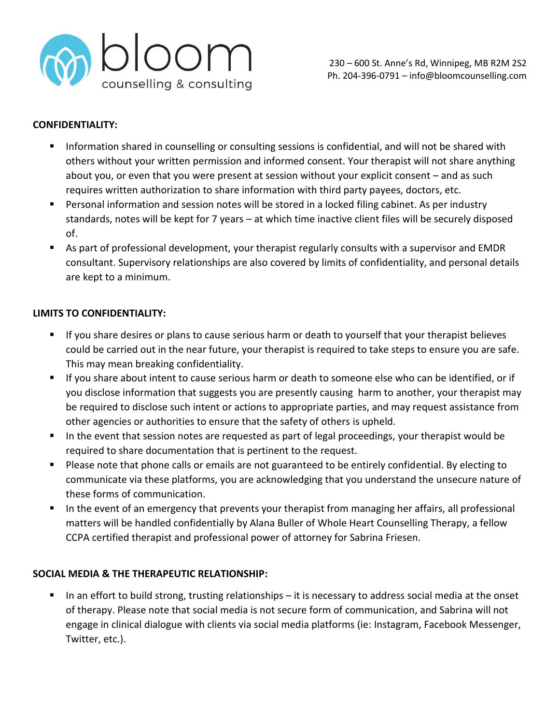

### **CONFIDENTIALITY:**

- Information shared in counselling or consulting sessions is confidential, and will not be shared with others without your written permission and informed consent. Your therapist will not share anything about you, or even that you were present at session without your explicit consent – and as such requires written authorization to share information with third party payees, doctors, etc.
- Personal information and session notes will be stored in a locked filing cabinet. As per industry standards, notes will be kept for 7 years – at which time inactive client files will be securely disposed of.
- As part of professional development, your therapist regularly consults with a supervisor and EMDR consultant. Supervisory relationships are also covered by limits of confidentiality, and personal details are kept to a minimum.

### **LIMITS TO CONFIDENTIALITY:**

- If you share desires or plans to cause serious harm or death to yourself that your therapist believes could be carried out in the near future, your therapist is required to take steps to ensure you are safe. This may mean breaking confidentiality.
- If you share about intent to cause serious harm or death to someone else who can be identified, or if you disclose information that suggests you are presently causing harm to another, your therapist may be required to disclose such intent or actions to appropriate parties, and may request assistance from other agencies or authorities to ensure that the safety of others is upheld.
- In the event that session notes are requested as part of legal proceedings, your therapist would be required to share documentation that is pertinent to the request.
- Please note that phone calls or emails are not guaranteed to be entirely confidential. By electing to communicate via these platforms, you are acknowledging that you understand the unsecure nature of these forms of communication.
- In the event of an emergency that prevents your therapist from managing her affairs, all professional matters will be handled confidentially by Alana Buller of Whole Heart Counselling Therapy, a fellow CCPA certified therapist and professional power of attorney for Sabrina Friesen.

# **SOCIAL MEDIA & THE THERAPEUTIC RELATIONSHIP:**

In an effort to build strong, trusting relationships  $-$  it is necessary to address social media at the onset of therapy. Please note that social media is not secure form of communication, and Sabrina will not engage in clinical dialogue with clients via social media platforms (ie: Instagram, Facebook Messenger, Twitter, etc.).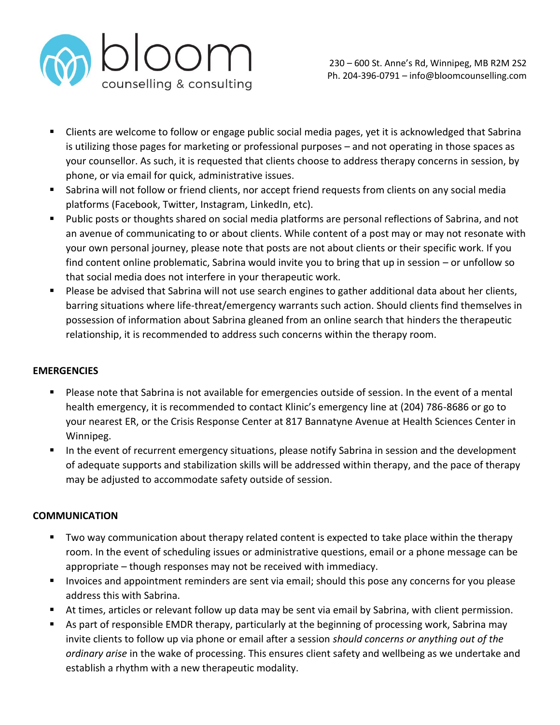

- Clients are welcome to follow or engage public social media pages, yet it is acknowledged that Sabrina is utilizing those pages for marketing or professional purposes – and not operating in those spaces as your counsellor. As such, it is requested that clients choose to address therapy concerns in session, by phone, or via email for quick, administrative issues.
- Sabrina will not follow or friend clients, nor accept friend requests from clients on any social media platforms (Facebook, Twitter, Instagram, LinkedIn, etc).
- Public posts or thoughts shared on social media platforms are personal reflections of Sabrina, and not an avenue of communicating to or about clients. While content of a post may or may not resonate with your own personal journey, please note that posts are not about clients or their specific work. If you find content online problematic, Sabrina would invite you to bring that up in session – or unfollow so that social media does not interfere in your therapeutic work.
- Please be advised that Sabrina will not use search engines to gather additional data about her clients, barring situations where life-threat/emergency warrants such action. Should clients find themselves in possession of information about Sabrina gleaned from an online search that hinders the therapeutic relationship, it is recommended to address such concerns within the therapy room.

# **EMERGENCIES**

- Please note that Sabrina is not available for emergencies outside of session. In the event of a mental health emergency, it is recommended to contact Klinic's emergency line at (204) 786-8686 or go to your nearest ER, or the Crisis Response Center at 817 Bannatyne Avenue at Health Sciences Center in Winnipeg.
- In the event of recurrent emergency situations, please notify Sabrina in session and the development of adequate supports and stabilization skills will be addressed within therapy, and the pace of therapy may be adjusted to accommodate safety outside of session.

### **COMMUNICATION**

- Two way communication about therapy related content is expected to take place within the therapy room. In the event of scheduling issues or administrative questions, email or a phone message can be appropriate – though responses may not be received with immediacy.
- **EXED** Invoices and appointment reminders are sent via email; should this pose any concerns for you please address this with Sabrina.
- At times, articles or relevant follow up data may be sent via email by Sabrina, with client permission.
- As part of responsible EMDR therapy, particularly at the beginning of processing work, Sabrina may invite clients to follow up via phone or email after a session *should concerns or anything out of the ordinary arise* in the wake of processing. This ensures client safety and wellbeing as we undertake and establish a rhythm with a new therapeutic modality.